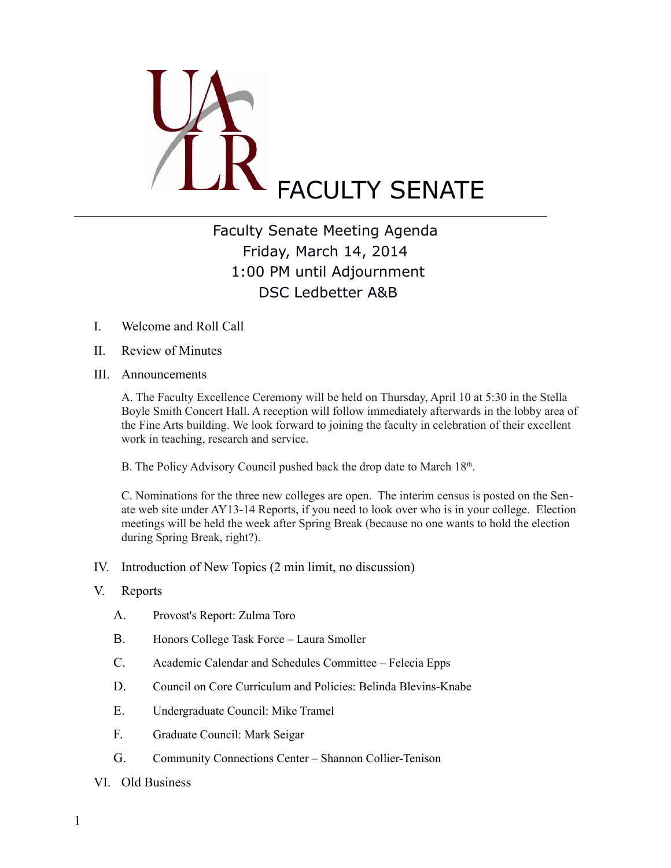

## Faculty Senate Meeting Agenda Friday, March 14, 2014 1:00 PM until Adjournment DSC Ledbetter A&B

- I. Welcome and Roll Call
- II. Review of Minutes
- III. Announcements

A. The Faculty Excellence Ceremony will be held on Thursday, April 10 at 5:30 in the Stella Boyle Smith Concert Hall. A reception will follow immediately afterwards in the lobby area of the Fine Arts building. We look forward to joining the faculty in celebration of their excellent work in teaching, research and service.

B. The Policy Advisory Council pushed back the drop date to March 18<sup>th</sup>.

C. Nominations for the three new colleges are open. The interim census is posted on the Senate web site under AY13-14 Reports, if you need to look over who is in your college. Election meetings will be held the week after Spring Break (because no one wants to hold the election during Spring Break, right?).

IV. Introduction of New Topics (2 min limit, no discussion)

## V. Reports

- A. Provost's Report: Zulma Toro
- B. Honors College Task Force Laura Smoller
- C. Academic Calendar and Schedules Committee Felecia Epps
- D. Council on Core Curriculum and Policies: Belinda Blevins-Knabe
- E. Undergraduate Council: Mike Tramel
- F. Graduate Council: Mark Seigar
- G. Community Connections Center Shannon Collier-Tenison
- VI. Old Business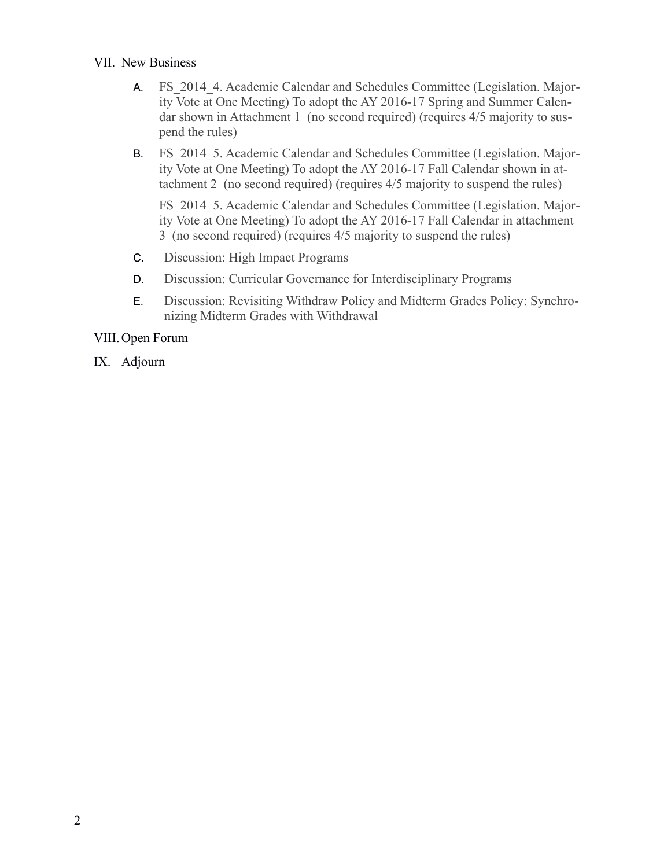## VII. New Business

- A. FS 2014 4. Academic Calendar and Schedules Committee (Legislation. Majority Vote at One Meeting) To adopt the AY 2016-17 Spring and Summer Calendar shown in Attachment 1 (no second required) (requires 4/5 majority to suspend the rules)
- B. FS 2014 5. Academic Calendar and Schedules Committee (Legislation. Majority Vote at One Meeting) To adopt the AY 2016-17 Fall Calendar shown in attachment 2 (no second required) (requires 4/5 majority to suspend the rules)

FS 2014 5. Academic Calendar and Schedules Committee (Legislation. Majority Vote at One Meeting) To adopt the AY 2016-17 Fall Calendar in attachment 3 (no second required) (requires 4/5 majority to suspend the rules)

- C. Discussion: High Impact Programs
- D. Discussion: Curricular Governance for Interdisciplinary Programs
- E. Discussion: Revisiting Withdraw Policy and Midterm Grades Policy: Synchronizing Midterm Grades with Withdrawal

VIII.Open Forum

IX. Adjourn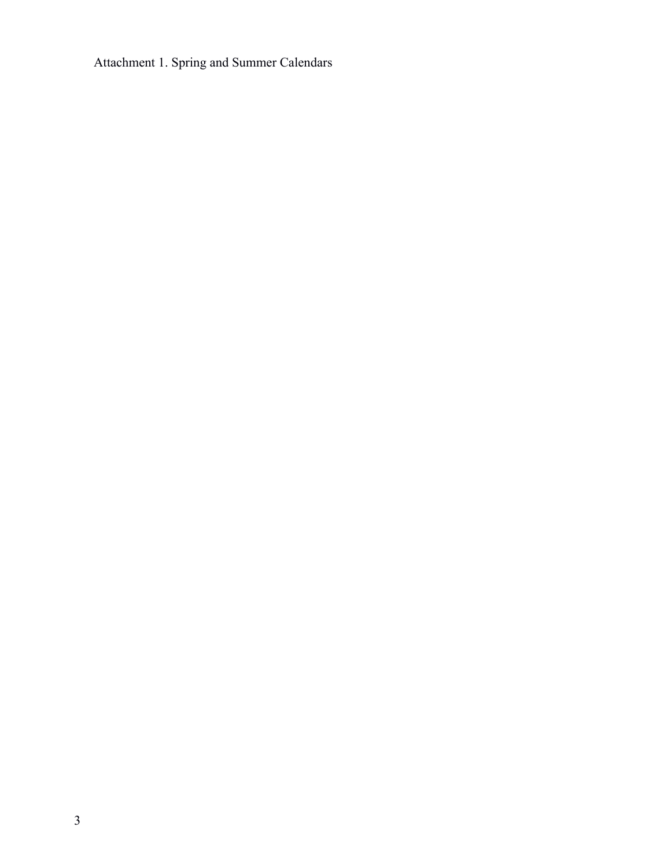Attachment 1. Spring and Summer Calendars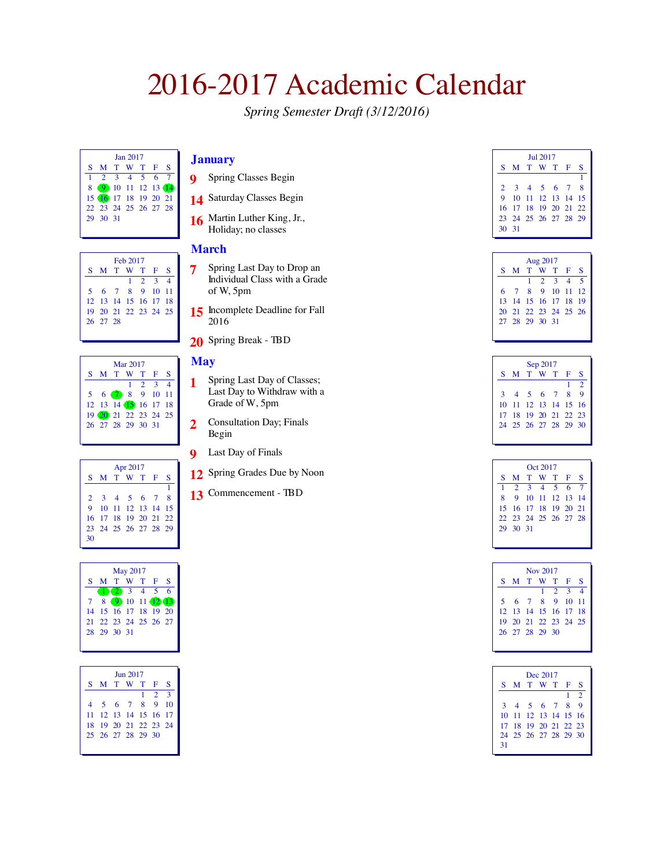*Spring Semester Draft (3/12/2016)*

| Jan 2017 |                      |  |  |             |  |  |  |  |  |
|----------|----------------------|--|--|-------------|--|--|--|--|--|
|          | S M T W T F S        |  |  |             |  |  |  |  |  |
|          |                      |  |  | 2 3 4 5 6 7 |  |  |  |  |  |
| 8        | 9 10 11 12 13 14     |  |  |             |  |  |  |  |  |
|          | 15 16 17 18 19 20 21 |  |  |             |  |  |  |  |  |
|          | 22 23 24 25 26 27 28 |  |  |             |  |  |  |  |  |
|          | 29 30 31             |  |  |             |  |  |  |  |  |
|          |                      |  |  |             |  |  |  |  |  |

| Feb 2017 |                      |  |  |  |                 |  |  |  |  |
|----------|----------------------|--|--|--|-----------------|--|--|--|--|
|          | S M T W T F S        |  |  |  |                 |  |  |  |  |
|          |                      |  |  |  | $1 \t2 \t3 \t4$ |  |  |  |  |
|          | 5 6 7 8 9 10 11      |  |  |  |                 |  |  |  |  |
|          | 12 13 14 15 16 17 18 |  |  |  |                 |  |  |  |  |
|          | 19 20 21 22 23 24 25 |  |  |  |                 |  |  |  |  |
|          | 26 27 28             |  |  |  |                 |  |  |  |  |
|          |                      |  |  |  |                 |  |  |  |  |

| Mar 2017             |  |  |                 |  |   |  |  |  |  |
|----------------------|--|--|-----------------|--|---|--|--|--|--|
| S M T W T F          |  |  |                 |  | S |  |  |  |  |
|                      |  |  | $1 \t2 \t3 \t4$ |  |   |  |  |  |  |
| 5 6 7 8 9 10 11      |  |  |                 |  |   |  |  |  |  |
| 12 13 14 15 16 17 18 |  |  |                 |  |   |  |  |  |  |
| 19 20 21 22 23 24 25 |  |  |                 |  |   |  |  |  |  |
| 26 27 28 29 30 31    |  |  |                 |  |   |  |  |  |  |
|                      |  |  |                 |  |   |  |  |  |  |

|    | Apr 2017             |  |                   |  |  |  |  |  |  |  |
|----|----------------------|--|-------------------|--|--|--|--|--|--|--|
|    | S M T W T F S        |  |                   |  |  |  |  |  |  |  |
|    |                      |  |                   |  |  |  |  |  |  |  |
|    | 2 3 4 5 6 7 8        |  |                   |  |  |  |  |  |  |  |
| 9  |                      |  | 10 11 12 13 14 15 |  |  |  |  |  |  |  |
|    | 16 17 18 19 20 21 22 |  |                   |  |  |  |  |  |  |  |
|    | 23 24 25 26 27 28 29 |  |                   |  |  |  |  |  |  |  |
| 30 |                      |  |                   |  |  |  |  |  |  |  |
|    |                      |  |                   |  |  |  |  |  |  |  |

| <b>May 2017</b> |                      |  |               |  |  |   |  |  |  |
|-----------------|----------------------|--|---------------|--|--|---|--|--|--|
| S.              |                      |  | M T W T F     |  |  | s |  |  |  |
|                 |                      |  |               |  |  |   |  |  |  |
|                 | 8                    |  | 9 10 11 12 13 |  |  |   |  |  |  |
|                 | 14 15 16 17 18 19 20 |  |               |  |  |   |  |  |  |
|                 | 21 22 23 24 25 26 27 |  |               |  |  |   |  |  |  |
|                 | 28 29 30 31          |  |               |  |  |   |  |  |  |
|                 |                      |  |               |  |  |   |  |  |  |

| <b>Iun 2017</b>          |                      |  |  |  |  |    |  |  |  |
|--------------------------|----------------------|--|--|--|--|----|--|--|--|
| S.                       | M T W T F            |  |  |  |  | s  |  |  |  |
| 3<br>$\mathcal{L}$<br>1. |                      |  |  |  |  |    |  |  |  |
|                          | 4 5 6 7 8 9          |  |  |  |  | 10 |  |  |  |
|                          | 11 12 13 14 15 16 17 |  |  |  |  |    |  |  |  |
|                          | 18 19 20 21 22 23 24 |  |  |  |  |    |  |  |  |
|                          | 25 26 27 28 29 30    |  |  |  |  |    |  |  |  |
|                          |                      |  |  |  |  |    |  |  |  |

## **January**

- Spring Classes Begin
- Saturday Classes Begin
- Martin Luther King, Jr., Holiday; no classes

### **March**

- Spring Last Day to Drop an Individual Class with a Grade of W, 5pm
- 15 Incomplete Deadline for Fall
- Spring Break TBD

## **May**

- Spring Last Day of Classes; Last Day to Withdraw with a Grade of W, 5pm
- Consultation Day; Finals Begin
- Last Day of Finals
- Spring Grades Due by Noon
- Commencement TBD

| <b>Iul 2017</b> |                      |  |  |  |  |  |  |  |  |
|-----------------|----------------------|--|--|--|--|--|--|--|--|
|                 | S M T W T F S        |  |  |  |  |  |  |  |  |
|                 |                      |  |  |  |  |  |  |  |  |
|                 | 2 3 4 5 6 7 8        |  |  |  |  |  |  |  |  |
|                 | 9 10 11 12 13 14 15  |  |  |  |  |  |  |  |  |
|                 | 16 17 18 19 20 21 22 |  |  |  |  |  |  |  |  |
|                 | 23 24 25 26 27 28 29 |  |  |  |  |  |  |  |  |
| $30 \quad 31$   |                      |  |  |  |  |  |  |  |  |

| Aug 2017 |                      |  |  |                 |  |     |  |  |  |
|----------|----------------------|--|--|-----------------|--|-----|--|--|--|
|          | SMTWTFS              |  |  |                 |  |     |  |  |  |
|          |                      |  |  | $1 \t2 \t3 \t4$ |  | - 5 |  |  |  |
|          | 6 7 8 9 10 11 12     |  |  |                 |  |     |  |  |  |
|          | 13 14 15 16 17 18 19 |  |  |                 |  |     |  |  |  |
|          | 20 21 22 23 24 25 26 |  |  |                 |  |     |  |  |  |
|          | 27 28 29 30 31       |  |  |                 |  |     |  |  |  |
|          |                      |  |  |                 |  |     |  |  |  |

| Sep 2017 |                      |  |  |  |   |             |  |  |
|----------|----------------------|--|--|--|---|-------------|--|--|
|          | S M T W T F          |  |  |  |   | s           |  |  |
|          |                      |  |  |  | 1 | $\bar{2}$   |  |  |
|          | 3 4 5 6 7 8          |  |  |  |   | $\mathbf Q$ |  |  |
|          | 10 11 12 13 14 15 16 |  |  |  |   |             |  |  |
|          | 17 18 19 20 21 22 23 |  |  |  |   |             |  |  |
|          | 24 25 26 27 28 29 30 |  |  |  |   |             |  |  |
|          |                      |  |  |  |   |             |  |  |

| Oct 2017 |                      |           |  |  |  |                |  |  |  |
|----------|----------------------|-----------|--|--|--|----------------|--|--|--|
|          | S M T W T F          |           |  |  |  | s              |  |  |  |
| 1        |                      | 2 3 4 5 6 |  |  |  | $\overline{7}$ |  |  |  |
|          | 8 9 10 11 12 13 14   |           |  |  |  |                |  |  |  |
|          | 15 16 17 18 19 20 21 |           |  |  |  |                |  |  |  |
|          | 22 23 24 25 26 27 28 |           |  |  |  |                |  |  |  |
|          | 29 30 31             |           |  |  |  |                |  |  |  |
|          |                      |           |  |  |  |                |  |  |  |

| Nov 2017 |                      |  |  |             |  |                       |  |  |  |
|----------|----------------------|--|--|-------------|--|-----------------------|--|--|--|
|          | S M T W T F S        |  |  |             |  |                       |  |  |  |
|          |                      |  |  | $1 \t2 \t3$ |  | $\boldsymbol{\Delta}$ |  |  |  |
|          | 5 6 7 8 9 10 11      |  |  |             |  |                       |  |  |  |
|          | 12 13 14 15 16 17 18 |  |  |             |  |                       |  |  |  |
|          | 19 20 21 22 23 24 25 |  |  |             |  |                       |  |  |  |
|          | 26 27 28 29 30       |  |  |             |  |                       |  |  |  |
|          |                      |  |  |             |  |                       |  |  |  |

|    | Dec 2017             |  |  |  |   |                |  |  |  |  |
|----|----------------------|--|--|--|---|----------------|--|--|--|--|
|    | S M T W T F          |  |  |  |   | s              |  |  |  |  |
|    |                      |  |  |  | 1 | $\overline{2}$ |  |  |  |  |
|    | 3 4 5 6 7 8          |  |  |  |   | $\mathbf Q$    |  |  |  |  |
|    | 10 11 12 13 14 15 16 |  |  |  |   |                |  |  |  |  |
|    | 17 18 19 20 21 22 23 |  |  |  |   |                |  |  |  |  |
|    | 24 25 26 27 28 29 30 |  |  |  |   |                |  |  |  |  |
| 31 |                      |  |  |  |   |                |  |  |  |  |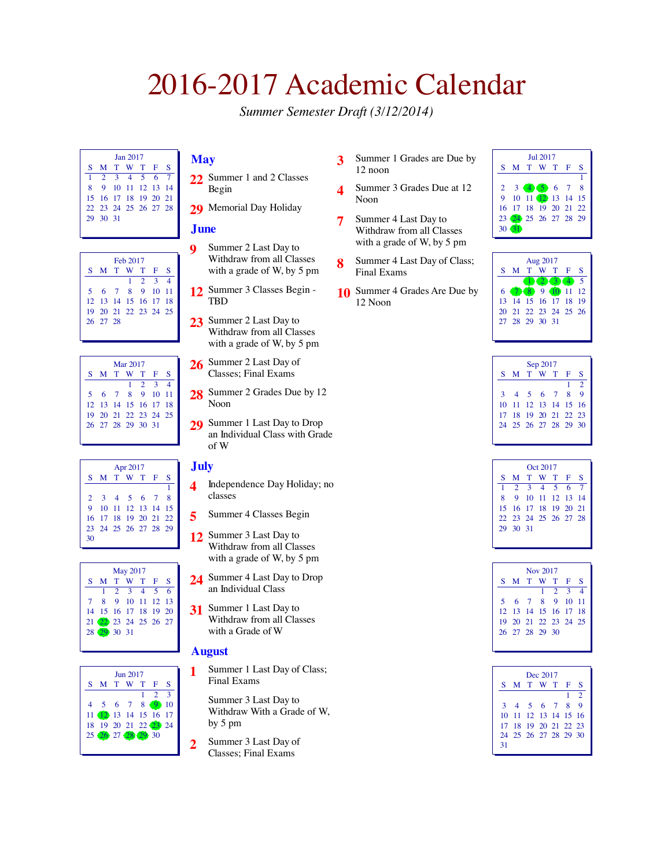*Summer Semester Draft (3/12/2014)*

| <b>Ian 2017</b> |                      |  |  |                  |  |  |  |  |  |  |
|-----------------|----------------------|--|--|------------------|--|--|--|--|--|--|
|                 | S M T W T F S        |  |  |                  |  |  |  |  |  |  |
| 1               | 2 3 4 5 6 7          |  |  |                  |  |  |  |  |  |  |
| $\mathbf{R}$    |                      |  |  | 9 10 11 12 13 14 |  |  |  |  |  |  |
|                 | 15 16 17 18 19 20 21 |  |  |                  |  |  |  |  |  |  |
|                 | 22 23 24 25 26 27 28 |  |  |                  |  |  |  |  |  |  |
|                 | 29 30 31             |  |  |                  |  |  |  |  |  |  |
|                 |                      |  |  |                  |  |  |  |  |  |  |

| Feb 2017 |                      |  |  |             |  |                          |  |  |  |
|----------|----------------------|--|--|-------------|--|--------------------------|--|--|--|
|          | S M T W T F S        |  |  |             |  |                          |  |  |  |
|          |                      |  |  | $1 \t2 \t3$ |  | $\boldsymbol{\varDelta}$ |  |  |  |
|          | 5 6 7 8 9 10 11      |  |  |             |  |                          |  |  |  |
|          | 12 13 14 15 16 17 18 |  |  |             |  |                          |  |  |  |
|          | 19 20 21 22 23 24 25 |  |  |             |  |                          |  |  |  |
|          | 26 27 28             |  |  |             |  |                          |  |  |  |
|          |                      |  |  |             |  |                          |  |  |  |

| Mar 2017 |                      |  |  |                 |  |   |  |  |  |
|----------|----------------------|--|--|-----------------|--|---|--|--|--|
|          | S M T W T F          |  |  |                 |  | S |  |  |  |
|          |                      |  |  | $1 \t2 \t3 \t4$ |  |   |  |  |  |
|          | 5 6 7 8 9 10 11      |  |  |                 |  |   |  |  |  |
|          | 12 13 14 15 16 17 18 |  |  |                 |  |   |  |  |  |
|          | 19 20 21 22 23 24 25 |  |  |                 |  |   |  |  |  |
|          | 26 27 28 29 30 31    |  |  |                 |  |   |  |  |  |
|          |                      |  |  |                 |  |   |  |  |  |

| Apr 2017 |                      |  |                   |  |  |   |  |  |  |  |
|----------|----------------------|--|-------------------|--|--|---|--|--|--|--|
|          | S M T W T F          |  |                   |  |  | S |  |  |  |  |
|          |                      |  |                   |  |  |   |  |  |  |  |
|          | 2 3 4 5 6 7 8        |  |                   |  |  |   |  |  |  |  |
| 9        |                      |  | 10 11 12 13 14 15 |  |  |   |  |  |  |  |
|          | 16 17 18 19 20 21 22 |  |                   |  |  |   |  |  |  |  |
|          | 23 24 25 26 27 28 29 |  |                   |  |  |   |  |  |  |  |
| 30       |                      |  |                   |  |  |   |  |  |  |  |



|    | $\text{Im } 2017$    |  |         |  |                |              |  |  |  |  |
|----|----------------------|--|---------|--|----------------|--------------|--|--|--|--|
| S. |                      |  | M T W T |  | - F            | S            |  |  |  |  |
|    |                      |  |         |  | $\overline{2}$ | $\mathbf{R}$ |  |  |  |  |
|    | 4 5 6 7 8 9 10       |  |         |  |                |              |  |  |  |  |
|    | 11 12 13 14 15 16 17 |  |         |  |                |              |  |  |  |  |
|    | 18 19 20 21 22 23 24 |  |         |  |                |              |  |  |  |  |
|    | 25 26 27 28 29 30    |  |         |  |                |              |  |  |  |  |
|    |                      |  |         |  |                |              |  |  |  |  |

## **May**

- **22** Summer 1 and 2 Classes Begin
- 29 Memorial Day Holiday

### **June**

- **9** Summer 2 Last Day to Withdraw from all Classes with a grade of W, by 5 pm
- **12** Summer 3 Classes Begin TBD
- **23** Summer 2 Last Day to Withdraw from all Classes with a grade of W, by 5 pm
- **26** Summer 2 Last Day of Classes; Final Exams
- 28 Summer 2 Grades Due by 12 Noon
- **29** Summer 1 Last Day to Drop an Individual Class with Grade of W

## **July**

- **4** Independence Day Holiday; no classes
- **5** Summer 4 Classes Begin
- **12** Summer 3 Last Day to Withdraw from all Classes with a grade of W, by 5 pm
- **24** Summer 4 Last Day to Drop an Individual Class
- **31** Summer 1 Last Day to Withdraw from all Classes with a Grade of W

### **August**

- **1** Summer 1 Last Day of Class; Final Exams
	- Summer 3 Last Day to Withdraw With a Grade of W, by 5 pm
- **2** Summer 3 Last Day of Classes; Final Exams
- **3** Summer 1 Grades are Due by 12 noon
- **4** Summer 3 Grades Due at 12 Noon
- **7** Summer 4 Last Day to Withdraw from all Classes with a grade of W, by 5 pm
- **8** Summer 4 Last Day of Class; Final Exams
- **10** Summer 4 Grades Are Due by 12 Noon





| Sep 2017 |                      |       |  |           |     |               |  |  |  |
|----------|----------------------|-------|--|-----------|-----|---------------|--|--|--|
| S        |                      |       |  | M T W T F |     | S             |  |  |  |
|          |                      |       |  |           | 1   | $\mathcal{D}$ |  |  |  |
| 3        | $\overline{4}$       | 5 6 7 |  |           | - 8 | $\mathbf{Q}$  |  |  |  |
|          | 10 11 12 13 14 15 16 |       |  |           |     |               |  |  |  |
|          | 17 18 19 20 21 22 23 |       |  |           |     |               |  |  |  |
|          | 24 25 26 27 28 29 30 |       |  |           |     |               |  |  |  |
|          |                      |       |  |           |     |               |  |  |  |

| Oct 2017 |                      |                  |  |  |  |  |  |  |  |  |
|----------|----------------------|------------------|--|--|--|--|--|--|--|--|
| $S_{-}$  |                      | M T W T F S      |  |  |  |  |  |  |  |  |
| 1        | 2 3 4 5 6 7          |                  |  |  |  |  |  |  |  |  |
| 8.       |                      | 9 10 11 12 13 14 |  |  |  |  |  |  |  |  |
|          | 15 16 17 18 19 20 21 |                  |  |  |  |  |  |  |  |  |
|          | 22 23 24 25 26 27 28 |                  |  |  |  |  |  |  |  |  |
|          | 29 30 31             |                  |  |  |  |  |  |  |  |  |
|          |                      |                  |  |  |  |  |  |  |  |  |

| Nov 2017 |                      |  |  |             |  |                |  |  |  |  |
|----------|----------------------|--|--|-------------|--|----------------|--|--|--|--|
|          | S M T W T F          |  |  |             |  | s              |  |  |  |  |
|          |                      |  |  | $1 \t2 \t3$ |  | $\overline{4}$ |  |  |  |  |
|          | 5 6 7 8 9 10 11      |  |  |             |  |                |  |  |  |  |
|          | 12 13 14 15 16 17 18 |  |  |             |  |                |  |  |  |  |
|          | 19 20 21 22 23 24 25 |  |  |             |  |                |  |  |  |  |
|          | 26 27 28 29 30       |  |  |             |  |                |  |  |  |  |
|          |                      |  |  |             |  |                |  |  |  |  |

|    | Dec 2017             |           |  |  |   |                |  |  |  |  |
|----|----------------------|-----------|--|--|---|----------------|--|--|--|--|
| S. |                      | M T W T F |  |  |   | s              |  |  |  |  |
|    |                      |           |  |  | 1 | $\overline{2}$ |  |  |  |  |
|    | 3 4 5 6 7 8          |           |  |  |   | <b>Q</b>       |  |  |  |  |
|    | 10 11 12 13 14 15 16 |           |  |  |   |                |  |  |  |  |
|    | 17 18 19 20 21 22 23 |           |  |  |   |                |  |  |  |  |
|    | 24 25 26 27 28 29 30 |           |  |  |   |                |  |  |  |  |
| 31 |                      |           |  |  |   |                |  |  |  |  |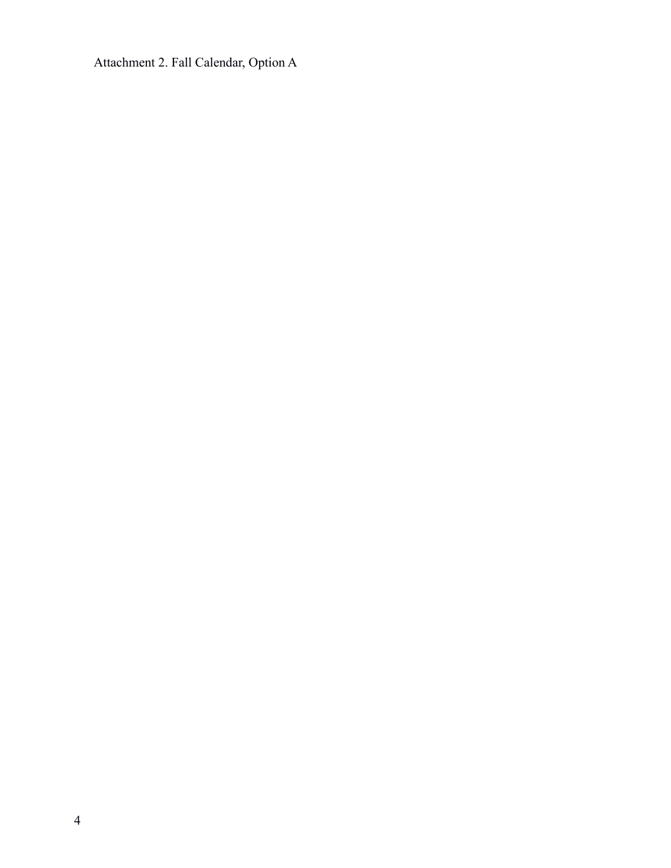Attachment 2. Fall Calendar, Option A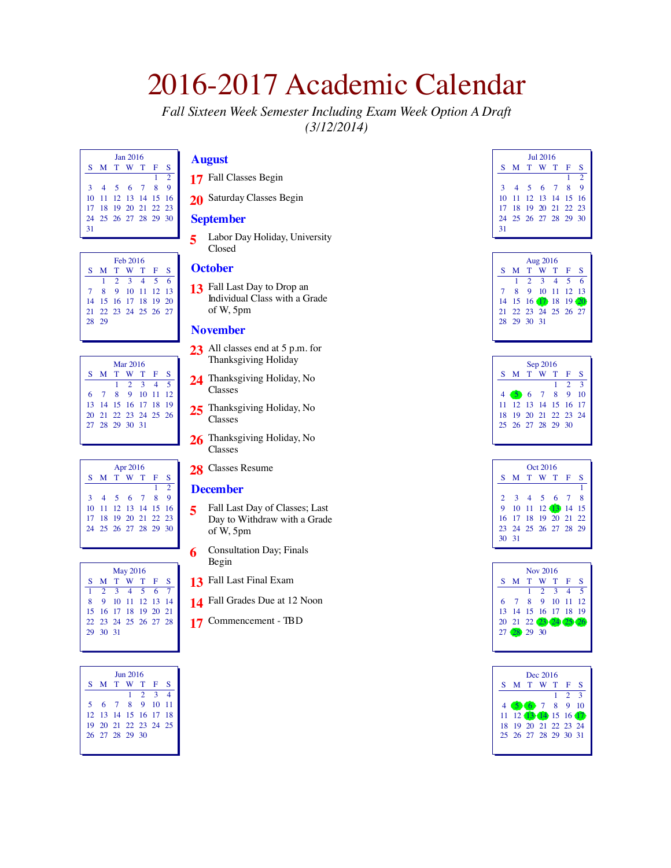*Fall Sixteen Week Semester Including Exam Week Option A Draft (3/12/2014)*

| $\rm{Ian}$ 2016 |                      |  |  |  |   |                |  |  |  |
|-----------------|----------------------|--|--|--|---|----------------|--|--|--|
|                 | S M T W T F          |  |  |  |   | S              |  |  |  |
|                 |                      |  |  |  | 1 | $\bar{z}$      |  |  |  |
|                 | 3 4 5 6 7 8          |  |  |  |   | $\overline{Q}$ |  |  |  |
|                 | 10 11 12 13 14 15 16 |  |  |  |   |                |  |  |  |
|                 | 17 18 19 20 21 22 23 |  |  |  |   |                |  |  |  |
|                 | 24 25 26 27 28 29 30 |  |  |  |   |                |  |  |  |
| 31              |                      |  |  |  |   |                |  |  |  |

| Feb 2016 |                      |  |             |  |  |   |  |  |  |
|----------|----------------------|--|-------------|--|--|---|--|--|--|
| S.       |                      |  | M T W T F   |  |  | S |  |  |  |
|          |                      |  | 1 2 3 4 5 6 |  |  |   |  |  |  |
|          | 7 8 9 10 11 12 13    |  |             |  |  |   |  |  |  |
|          | 14 15 16 17 18 19 20 |  |             |  |  |   |  |  |  |
|          | 21 22 23 24 25 26 27 |  |             |  |  |   |  |  |  |
|          | 28 29                |  |             |  |  |   |  |  |  |
|          |                      |  |             |  |  |   |  |  |  |

| Mar 2016 |                      |  |                     |  |  |  |  |  |  |
|----------|----------------------|--|---------------------|--|--|--|--|--|--|
| S.       |                      |  | M T W T F S         |  |  |  |  |  |  |
|          |                      |  | $1 \t2 \t3 \t4 \t5$ |  |  |  |  |  |  |
|          | 6 7 8 9 10 11 12     |  |                     |  |  |  |  |  |  |
|          | 13 14 15 16 17 18 19 |  |                     |  |  |  |  |  |  |
|          | 20 21 22 23 24 25 26 |  |                     |  |  |  |  |  |  |
|          | 27 28 29 30 31       |  |                     |  |  |  |  |  |  |
|          |                      |  |                     |  |  |  |  |  |  |

| Apr 2016 |                      |  |  |  |    |               |  |  |  |  |
|----------|----------------------|--|--|--|----|---------------|--|--|--|--|
|          | S M T W T F          |  |  |  |    | S             |  |  |  |  |
|          |                      |  |  |  | 1. | $\mathcal{D}$ |  |  |  |  |
|          | 3 4 5 6 7 8          |  |  |  |    | $\mathbf Q$   |  |  |  |  |
|          | 10 11 12 13 14 15 16 |  |  |  |    |               |  |  |  |  |
|          | 17 18 19 20 21 22 23 |  |  |  |    |               |  |  |  |  |
|          | 24 25 26 27 28 29 30 |  |  |  |    |               |  |  |  |  |
|          |                      |  |  |  |    |               |  |  |  |  |

| <b>May 2016</b> |                      |  |  |  |  |  |  |  |  |  |
|-----------------|----------------------|--|--|--|--|--|--|--|--|--|
|                 | S M T W T F S        |  |  |  |  |  |  |  |  |  |
|                 | 1 2 3 4 5 6 7        |  |  |  |  |  |  |  |  |  |
| 8               | 9 10 11 12 13 14     |  |  |  |  |  |  |  |  |  |
|                 | 15 16 17 18 19 20 21 |  |  |  |  |  |  |  |  |  |
|                 | 22 23 24 25 26 27 28 |  |  |  |  |  |  |  |  |  |
|                 | 29 30 31             |  |  |  |  |  |  |  |  |  |
|                 |                      |  |  |  |  |  |  |  |  |  |

| $\frac{7016}{2016}$ |                      |  |  |                 |  |  |  |  |  |  |
|---------------------|----------------------|--|--|-----------------|--|--|--|--|--|--|
|                     | S M T W T F S        |  |  |                 |  |  |  |  |  |  |
|                     |                      |  |  | $1 \t2 \t3 \t4$ |  |  |  |  |  |  |
|                     | 5 6 7 8 9 10 11      |  |  |                 |  |  |  |  |  |  |
|                     | 12 13 14 15 16 17 18 |  |  |                 |  |  |  |  |  |  |
|                     | 19 20 21 22 23 24 25 |  |  |                 |  |  |  |  |  |  |
|                     | 26 27 28 29 30       |  |  |                 |  |  |  |  |  |  |
|                     |                      |  |  |                 |  |  |  |  |  |  |

## **August**

- Fall Classes Begin
- Saturday Classes Begin

## **September**

 Labor Day Holiday, University Closed

## **October**

 Fall Last Day to Drop an Individual Class with a Grade of W, 5pm

### **November**

- 23 All classes end at 5 p.m. for Thanksgiving Holiday
- Thanksgiving Holiday, No Classes
- 25 Thanksgiving Holiday, No Classes
- 26 Thanksgiving Holiday, No Classes
- Classes Resume

### **December**

- Fall Last Day of Classes; Last Day to Withdraw with a Grade of W, 5pm
- Consultation Day; Finals Begin
- Fall Last Final Exam
- Fall Grades Due at 12 Noon
- Commencement TBD

|              | $\text{In}12016$     |           |  |  |   |                |  |  |  |  |  |
|--------------|----------------------|-----------|--|--|---|----------------|--|--|--|--|--|
| S            |                      | M T W T F |  |  |   | S              |  |  |  |  |  |
|              |                      |           |  |  |   | $\overline{2}$ |  |  |  |  |  |
| $\mathbf{3}$ | $\overline{4}$       | 567       |  |  | 8 | $\mathbf Q$    |  |  |  |  |  |
|              | 10 11 12 13 14 15 16 |           |  |  |   |                |  |  |  |  |  |
|              | 17 18 19 20 21 22 23 |           |  |  |   |                |  |  |  |  |  |
|              | 24 25 26 27 28 29 30 |           |  |  |   |                |  |  |  |  |  |
| 31           |                      |           |  |  |   |                |  |  |  |  |  |

| Aug 2016 |                            |  |                         |  |  |  |  |  |  |  |
|----------|----------------------------|--|-------------------------|--|--|--|--|--|--|--|
|          | S M T W T F S              |  |                         |  |  |  |  |  |  |  |
|          |                            |  | $1 \t2 \t3 \t4 \t5 \t6$ |  |  |  |  |  |  |  |
|          | 7 8 9 10 11 12 13          |  |                         |  |  |  |  |  |  |  |
|          | 14  15  16  17  18  19  20 |  |                         |  |  |  |  |  |  |  |
|          | 21 22 23 24 25 26 27       |  |                         |  |  |  |  |  |  |  |
|          | 28 29 30 31                |  |                         |  |  |  |  |  |  |  |
|          |                            |  |                         |  |  |  |  |  |  |  |

| Sep 2016             |  |  |    |                |    |  |  |  |  |  |
|----------------------|--|--|----|----------------|----|--|--|--|--|--|
| S M T W T F          |  |  |    |                | S  |  |  |  |  |  |
|                      |  |  | 1. | 2 <sup>3</sup> |    |  |  |  |  |  |
| 4 5 6 7 8 9          |  |  |    |                | 10 |  |  |  |  |  |
| 11 12 13 14 15 16 17 |  |  |    |                |    |  |  |  |  |  |
| 18 19 20 21 22 23 24 |  |  |    |                |    |  |  |  |  |  |
| 25 26 27 28 29 30    |  |  |    |                |    |  |  |  |  |  |
|                      |  |  |    |                |    |  |  |  |  |  |

| Oct 2016      |                      |  |  |                   |  |  |  |  |  |  |
|---------------|----------------------|--|--|-------------------|--|--|--|--|--|--|
|               | S M T W T F S        |  |  |                   |  |  |  |  |  |  |
|               |                      |  |  |                   |  |  |  |  |  |  |
| $\mathbf{2}$  |                      |  |  | 3 4 5 6 7 8       |  |  |  |  |  |  |
| 9             |                      |  |  | 10 11 12 13 14 15 |  |  |  |  |  |  |
|               | 16 17 18 19 20 21 22 |  |  |                   |  |  |  |  |  |  |
|               | 23 24 25 26 27 28 29 |  |  |                   |  |  |  |  |  |  |
| $30 \quad 31$ |                      |  |  |                   |  |  |  |  |  |  |
|               |                      |  |  |                   |  |  |  |  |  |  |

| Nov 2016             |  |                     |  |  |  |  |  |  |  |  |
|----------------------|--|---------------------|--|--|--|--|--|--|--|--|
| S M T W T F S        |  |                     |  |  |  |  |  |  |  |  |
|                      |  | $1 \t2 \t3 \t4 \t5$ |  |  |  |  |  |  |  |  |
| 6 7 8 9 10 11 12     |  |                     |  |  |  |  |  |  |  |  |
| 13 14 15 16 17 18 19 |  |                     |  |  |  |  |  |  |  |  |
| 20 21 22 23 24 25 26 |  |                     |  |  |  |  |  |  |  |  |
| 27 (28 29 30         |  |                     |  |  |  |  |  |  |  |  |
|                      |  |                     |  |  |  |  |  |  |  |  |

|   |                      | Dec 2016 |   |                             |                         |
|---|----------------------|----------|---|-----------------------------|-------------------------|
| S | M T W T F            |          |   |                             | S                       |
|   |                      |          | 1 | $\mathcal{D}_{\mathcal{L}}$ | $\overline{\mathbf{3}}$ |
|   | 4 5 6 7 8 9 10       |          |   |                             |                         |
|   | 11 12 13 14 15 16 17 |          |   |                             |                         |
|   | 18 19 20 21 22 23 24 |          |   |                             |                         |
|   | 25 26 27 28 29 30 31 |          |   |                             |                         |
|   |                      |          |   |                             |                         |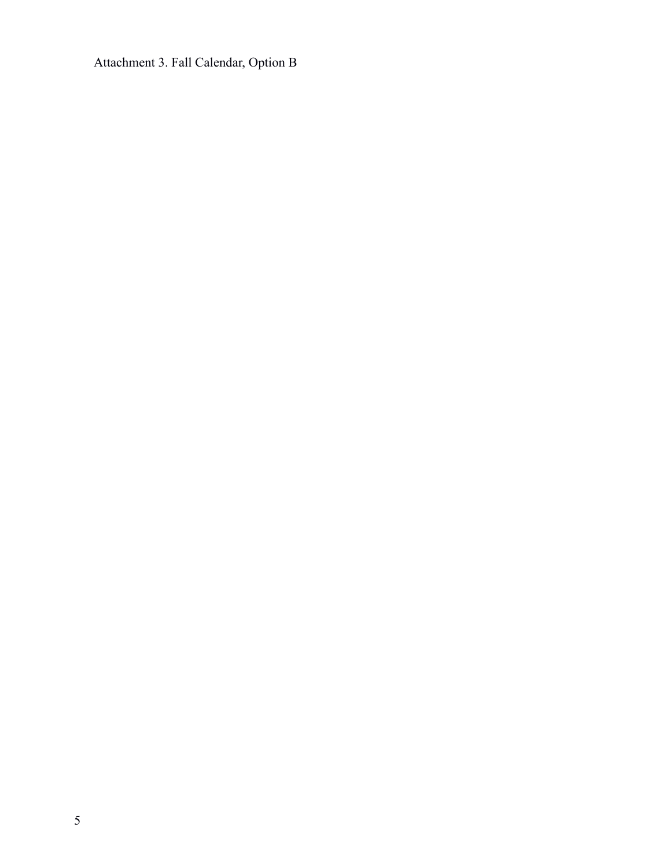Attachment 3. Fall Calendar, Option B